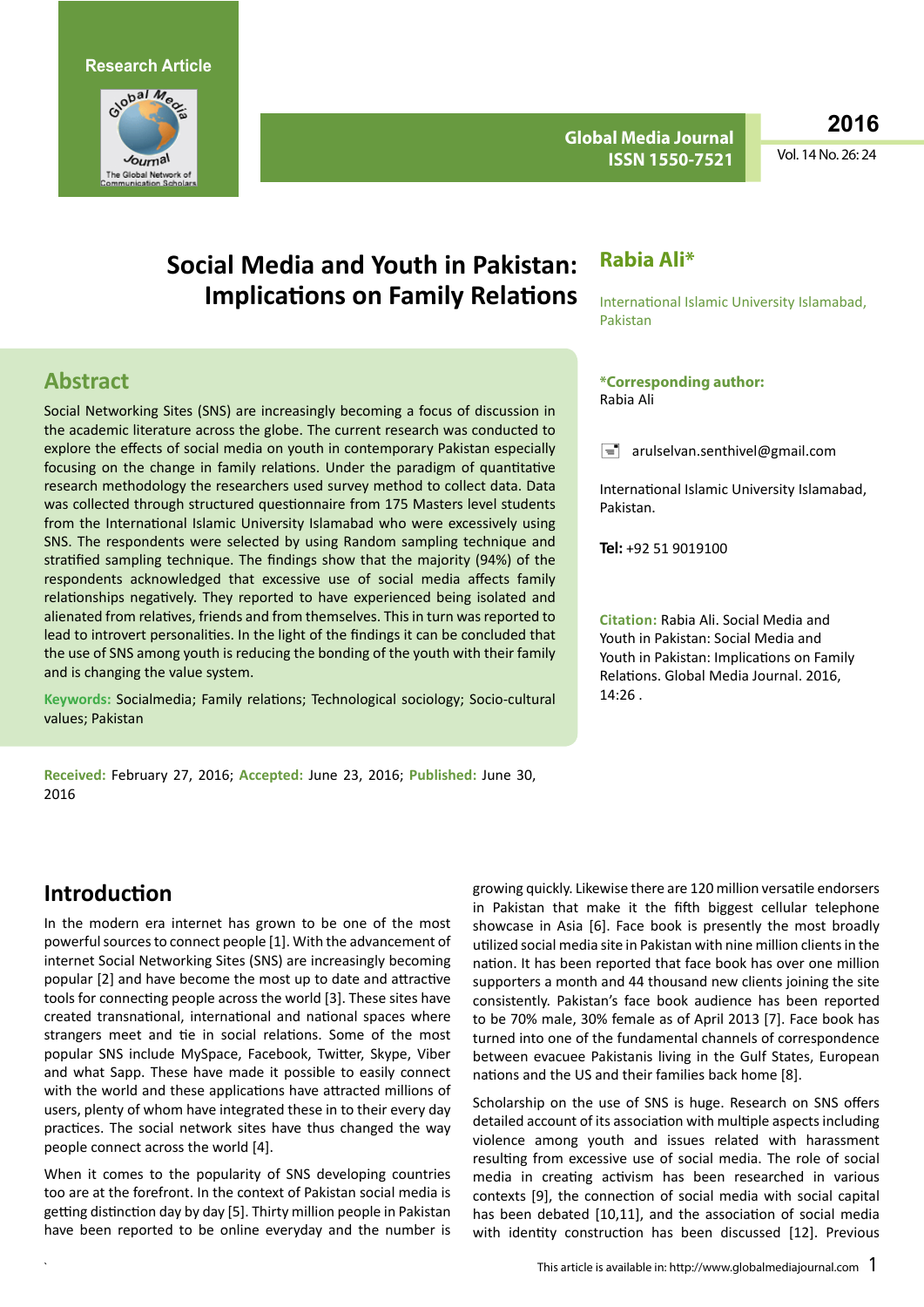

**Global Media Journal ISSN 1550-7521**

**2016**

Vol. 14 No. 26: 24

# **Social Media and Youth in Pakistan: Implications on Family Relations**

#### **Rabia Ali\***

Rabia Ali

Pakistan.

 $14.26$ 

**Tel:** +92 51 9019100

**\*Corresponding author:** 

International Islamic University Islamabad, Pakistan

 $\equiv$  arulselvan.senthivel@gmail.com

**Citation:** Rabia Ali. Social Media and Youth in Pakistan: Social Media and Youth in Pakistan: Implications on Family Relations. Global Media Journal. 2016,

International Islamic University Islamabad,

### **Abstract**

Social Networking Sites (SNS) are increasingly becoming a focus of discussion in the academic literature across the globe. The current research was conducted to explore the effects of social media on youth in contemporary Pakistan especially focusing on the change in family relations. Under the paradigm of quantitative research methodology the researchers used survey method to collect data. Data was collected through structured questionnaire from 175 Masters level students from the International Islamic University Islamabad who were excessively using SNS. The respondents were selected by using Random sampling technique and stratified sampling technique. The findings show that the majority (94%) of the respondents acknowledged that excessive use of social media affects family relationships negatively. They reported to have experienced being isolated and alienated from relatives, friends and from themselves. This in turn was reported to lead to introvert personalities. In the light of the findings it can be concluded that the use of SNS among youth is reducing the bonding of the youth with their family and is changing the value system.

**Keywords:** Socialmedia; Family relations; Technological sociology; Socio-cultural values; Pakistan

**Received:** February 27, 2016; **Accepted:** June 23, 2016; **Published:** June 30, 2016

**Introduction**

In the modern era internet has grown to be one of the most powerful sources to connect people [1]. With the advancement of internet Social Networking Sites (SNS) are increasingly becoming popular [2] and have become the most up to date and attractive tools for connecting people across the world [3]. These sites have created transnational, international and national spaces where strangers meet and tie in social relations. Some of the most popular SNS include MySpace, Facebook, Twitter, Skype, Viber and what Sapp. These have made it possible to easily connect with the world and these applications have attracted millions of users, plenty of whom have integrated these in to their every day practices. The social network sites have thus changed the way people connect across the world [4].

When it comes to the popularity of SNS developing countries too are at the forefront. In the context of Pakistan social media is getting distinction day by day [5]. Thirty million people in Pakistan have been reported to be online everyday and the number is growing quickly. Likewise there are 120 million versatile endorsers in Pakistan that make it the fifth biggest cellular telephone showcase in Asia [6]. Face book is presently the most broadly utilized social media site in Pakistan with nine million clients in the nation. It has been reported that face book has over one million supporters a month and 44 thousand new clients joining the site consistently. Pakistan's face book audience has been reported to be 70% male, 30% female as of April 2013 [7]. Face book has turned into one of the fundamental channels of correspondence between evacuee Pakistanis living in the Gulf States, European nations and the US and their families back home [8].

Scholarship on the use of SNS is huge. Research on SNS offers detailed account of its association with multiple aspects including violence among youth and issues related with harassment resulting from excessive use of social media. The role of social media in creating activism has been researched in various contexts [9], the connection of social media with social capital has been debated [10,11], and the association of social media with identity construction has been discussed [12]. Previous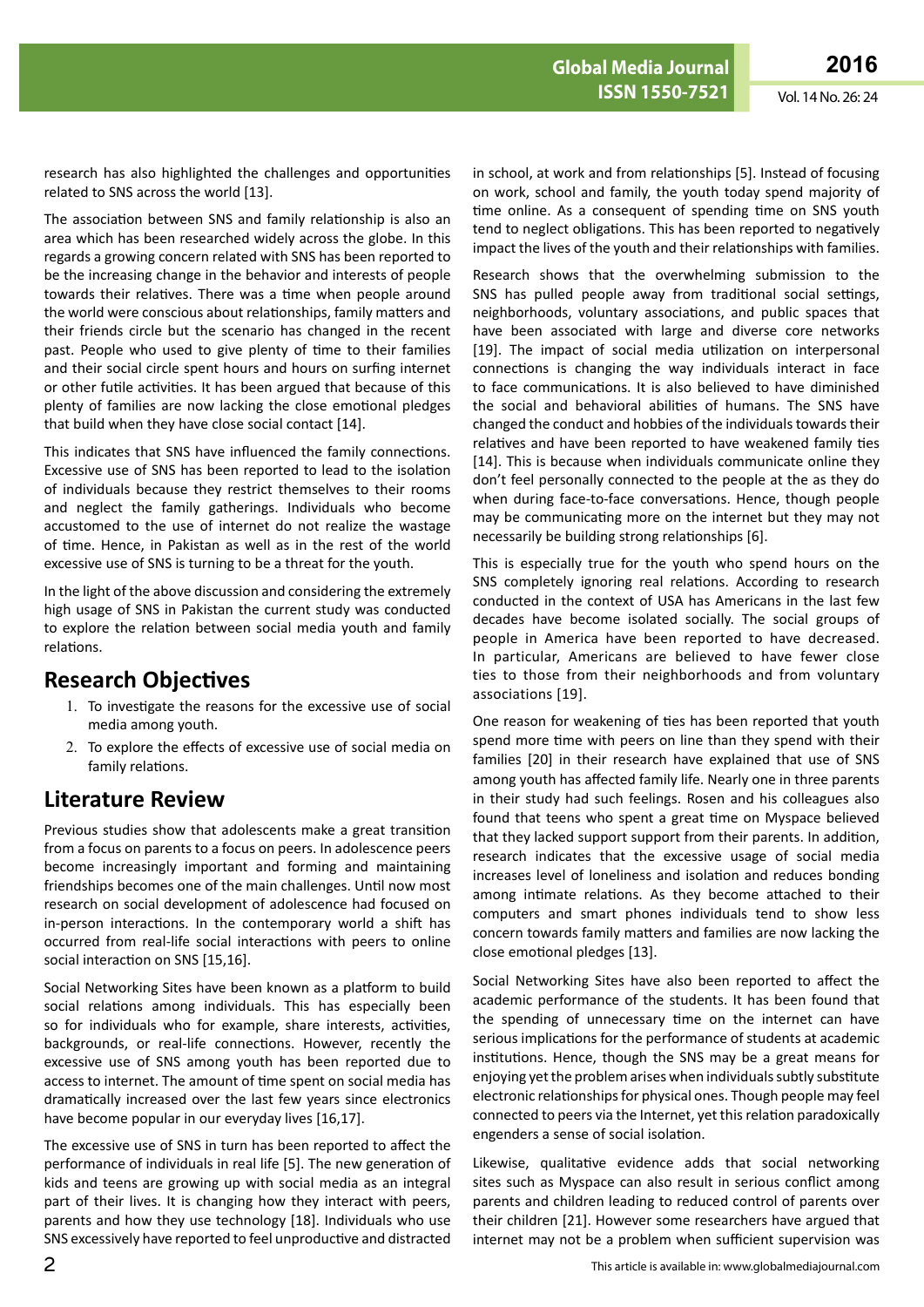research has also highlighted the challenges and opportunities related to SNS across the world [13].

The association between SNS and family relationship is also an area which has been researched widely across the globe. In this regards a growing concern related with SNS has been reported to be the increasing change in the behavior and interests of people towards their relatives. There was a time when people around the world were conscious about relationships, family matters and their friends circle but the scenario has changed in the recent past. People who used to give plenty of time to their families and their social circle spent hours and hours on surfing internet or other futile activities. It has been argued that because of this plenty of families are now lacking the close emotional pledges that build when they have close social contact [14].

This indicates that SNS have influenced the family connections. Excessive use of SNS has been reported to lead to the isolation of individuals because they restrict themselves to their rooms and neglect the family gatherings. Individuals who become accustomed to the use of internet do not realize the wastage of time. Hence, in Pakistan as well as in the rest of the world excessive use of SNS is turning to be a threat for the youth.

In the light of the above discussion and considering the extremely high usage of SNS in Pakistan the current study was conducted to explore the relation between social media youth and family relations.

### **Research Objectives**

- 1. To investigate the reasons for the excessive use of social media among youth.
- 2. To explore the effects of excessive use of social media on family relations.

## **Literature Review**

Previous studies show that adolescents make a great transition from a focus on parents to a focus on peers. In adolescence peers become increasingly important and forming and maintaining friendships becomes one of the main challenges. Until now most research on social development of adolescence had focused on in-person interactions. In the contemporary world a shift has occurred from real-life social interactions with peers to online social interaction on SNS [15,16].

Social Networking Sites have been known as a platform to build social relations among individuals. This has especially been so for individuals who for example, share interests, activities, backgrounds, or real-life connections. However, recently the excessive use of SNS among youth has been reported due to access to internet. The amount of time spent on social media has dramatically increased over the last few years since electronics have become popular in our everyday lives [16,17].

The excessive use of SNS in turn has been reported to affect the performance of individuals in real life [5]. The new generation of kids and teens are growing up with social media as an integral part of their lives. It is changing how they interact with peers, parents and how they use technology [18]. Individuals who use SNS excessively have reported to feel unproductive and distracted in school, at work and from relationships [5]. Instead of focusing on work, school and family, the youth today spend majority of time online. As a consequent of spending time on SNS youth tend to neglect obligations. This has been reported to negatively impact the lives of the youth and their relationships with families.

Research shows that the overwhelming submission to the SNS has pulled people away from traditional social settings, neighborhoods, voluntary associations, and public spaces that have been associated with large and diverse core networks [19]. The impact of social media utilization on interpersonal connections is changing the way individuals interact in face to face communications. It is also believed to have diminished the social and behavioral abilities of humans. The SNS have changed the conduct and hobbies of the individuals towards their relatives and have been reported to have weakened family ties [14]. This is because when individuals communicate online they don't feel personally connected to the people at the as they do when during face-to-face conversations. Hence, though people may be communicating more on the internet but they may not necessarily be building strong relationships [6].

This is especially true for the youth who spend hours on the SNS completely ignoring real relations. According to research conducted in the context of USA has Americans in the last few decades have become isolated socially. The social groups of people in America have been reported to have decreased. In particular, Americans are believed to have fewer close ties to those from their neighborhoods and from voluntary associations [19].

One reason for weakening of ties has been reported that youth spend more time with peers on line than they spend with their families [20] in their research have explained that use of SNS among youth has affected family life. Nearly one in three parents in their study had such feelings. Rosen and his colleagues also found that teens who spent a great time on Myspace believed that they lacked support support from their parents. In addition, research indicates that the excessive usage of social media increases level of loneliness and isolation and reduces bonding among intimate relations. As they become attached to their computers and smart phones individuals tend to show less concern towards family matters and families are now lacking the close emotional pledges [13].

Social Networking Sites have also been reported to affect the academic performance of the students. It has been found that the spending of unnecessary time on the internet can have serious implications for the performance of students at academic institutions. Hence, though the SNS may be a great means for enjoying yet the problem arises when individuals subtly substitute electronic relationships for physical ones. Though people may feel connected to peers via the Internet, yet this relation paradoxically engenders a sense of [social isolation](http://www.psychologytoday.com/basics/loneliness).

Likewise, qualitative evidence adds that social networking sites such as Myspace can also result in serious conflict among parents and children leading to reduced control of parents over their children [21]. However some researchers have argued that internet may not be a problem when sufficient supervision was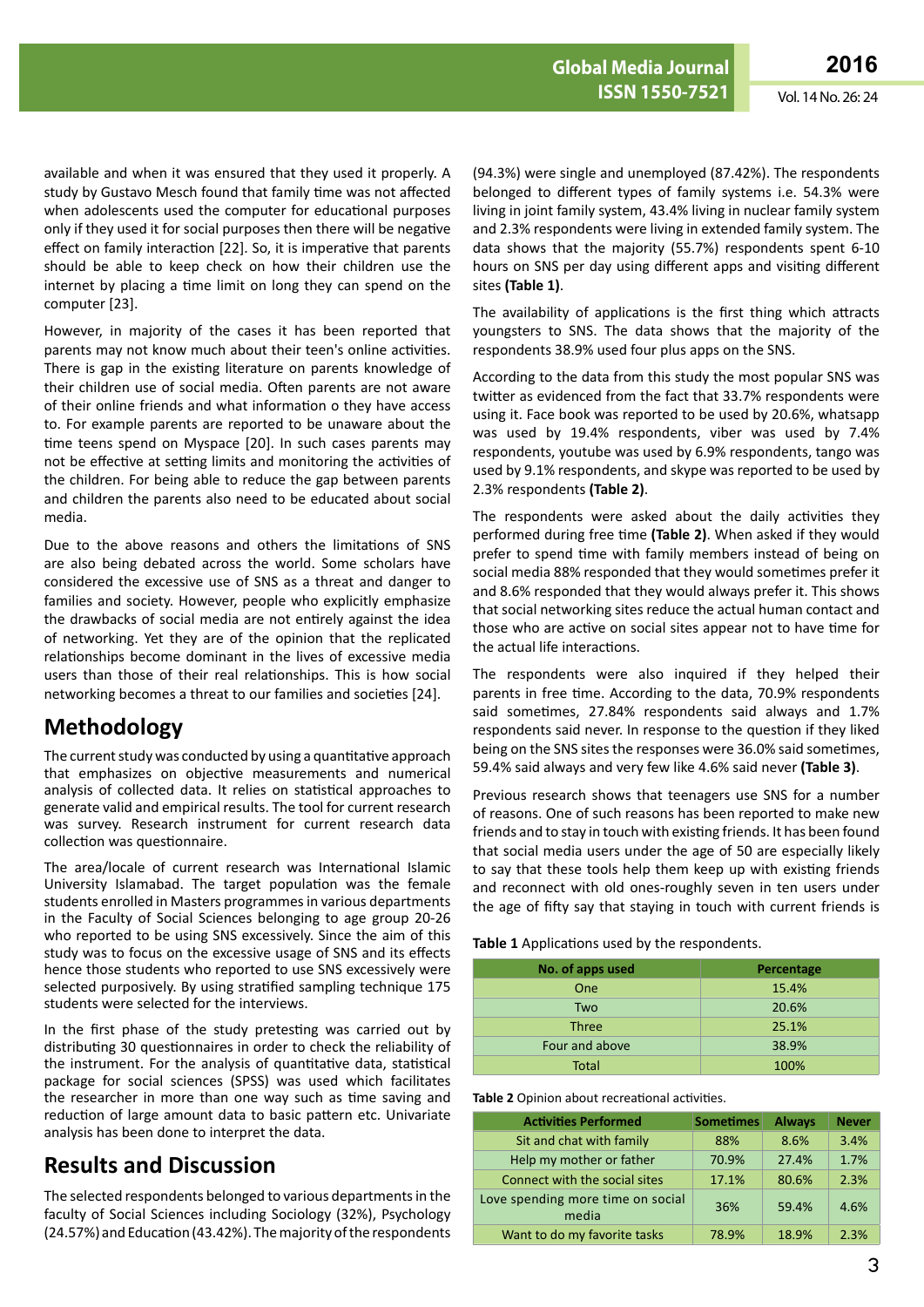available and when it was ensured that they used it properly. A study by Gustavo Mesch found that family time was not affected when adolescents used the computer for educational purposes only if they used it for social purposes then there will be negative effect on family interaction [22]. So, it is imperative that parents should be able to keep check on how their children use the internet by placing a time limit on long they can spend on the computer [23].

However, in majority of the cases it has been reported that parents may not know much about their teen's online activities. There is gap in the existing literature on parents knowledge of their children use of social media. Often parents are not aware of their online friends and what information o they have access to. For example parents are reported to be unaware about the time teens spend on Myspace [20]. In such cases parents may not be effective at setting limits and monitoring the activities of the children. For being able to reduce the gap between parents and children the parents also need to be educated about social media.

Due to the above reasons and others the limitations of SNS are also being debated across the world. Some scholars have considered the excessive use of SNS as a threat and danger to families and society. However, people who explicitly emphasize the drawbacks of social media are not entirely against the idea of networking. Yet they are of the opinion that the replicated relationships become dominant in the lives of excessive media users than those of their real relationships. This is how social networking becomes a threat to our families and societies [24].

### **Methodology**

The current study was conducted by using a quantitative approach that emphasizes on objective measurements and numerical analysis of collected data. It relies on statistical approaches to generate valid and empirical results. The tool for current research was survey. Research instrument for current research data collection was questionnaire.

The area/locale of current research was International Islamic University Islamabad. The target population was the female students enrolled in Masters programmes in various departments in the Faculty of Social Sciences belonging to age group 20-26 who reported to be using SNS excessively. Since the aim of this study was to focus on the excessive usage of SNS and its effects hence those students who reported to use SNS excessively were selected purposively. By using stratified sampling technique 175 students were selected for the interviews.

In the first phase of the study pretesting was carried out by distributing 30 questionnaires in order to check the reliability of the instrument. For the analysis of quantitative data, statistical package for social sciences (SPSS) was used which facilitates the researcher in more than one way such as time saving and reduction of large amount data to basic pattern etc. Univariate analysis has been done to interpret the data.

## **Results and Discussion**

The selected respondents belonged to various departments in the faculty of Social Sciences including Sociology (32%), Psychology (24.57%) and Education (43.42%). The majority of the respondents

(94.3%) were single and unemployed (87.42%). The respondents belonged to different types of family systems i.e. 54.3% were living in joint family system, 43.4% living in nuclear family system and 2.3% respondents were living in extended family system. The data shows that the majority (55.7%) respondents spent 6-10 hours on SNS per day using different apps and visiting different sites **(Table 1)**.

The availability of applications is the first thing which attracts youngsters to SNS. The data shows that the majority of the respondents 38.9% used four plus apps on the SNS.

According to the data from this study the most popular SNS was twitter as evidenced from the fact that 33.7% respondents were using it. Face book was reported to be used by 20.6%, whatsapp was used by 19.4% respondents, viber was used by 7.4% respondents, youtube was used by 6.9% respondents, tango was used by 9.1% respondents, and skype was reported to be used by 2.3% respondents **(Table 2)**.

The respondents were asked about the daily activities they performed during free time **(Table 2)**. When asked if they would prefer to spend time with family members instead of being on social media 88% responded that they would sometimes prefer it and 8.6% responded that they would always prefer it. This shows that social networking sites reduce the actual human contact and those who are active on social sites appear not to have time for the actual life interactions.

The respondents were also inquired if they helped their parents in free time. According to the data, 70.9% respondents said sometimes, 27.84% respondents said always and 1.7% respondents said never. In response to the question if they liked being on the SNS sites the responses were 36.0% said sometimes, 59.4% said always and very few like 4.6% said never **(Table 3)**.

Previous research shows that teenagers use SNS for a number of reasons. One of such reasons has been reported to make new friends and to stay in touch with existing friends. It has been found that social media users under the age of 50 are especially likely to say that these tools help them keep up with existing friends and reconnect with old ones-roughly seven in ten users under the age of fifty say that staying in touch with current friends is

#### **Table 1** Applications used by the respondents.

| No. of apps used | <b>Percentage</b> |
|------------------|-------------------|
| One              | 15.4%             |
| Two              | 20.6%             |
| <b>Three</b>     | 25.1%             |
| Four and above   | 38.9%             |
| <b>Total</b>     | 100%              |

**Table 2** Opinion about recreational activities.

| <b>Activities Performed</b>                | <b>Sometimes</b> | <b>Always</b> | <b>Never</b> |
|--------------------------------------------|------------------|---------------|--------------|
| Sit and chat with family                   | 88%              | 8.6%          | 3.4%         |
| Help my mother or father                   | 70.9%            | 27.4%         | 1.7%         |
| Connect with the social sites              | 17.1%            | 80.6%         | 2.3%         |
| Love spending more time on social<br>media | 36%              | 59.4%         | 4.6%         |
| Want to do my favorite tasks               | 78.9%            | 18.9%         | 2.3%         |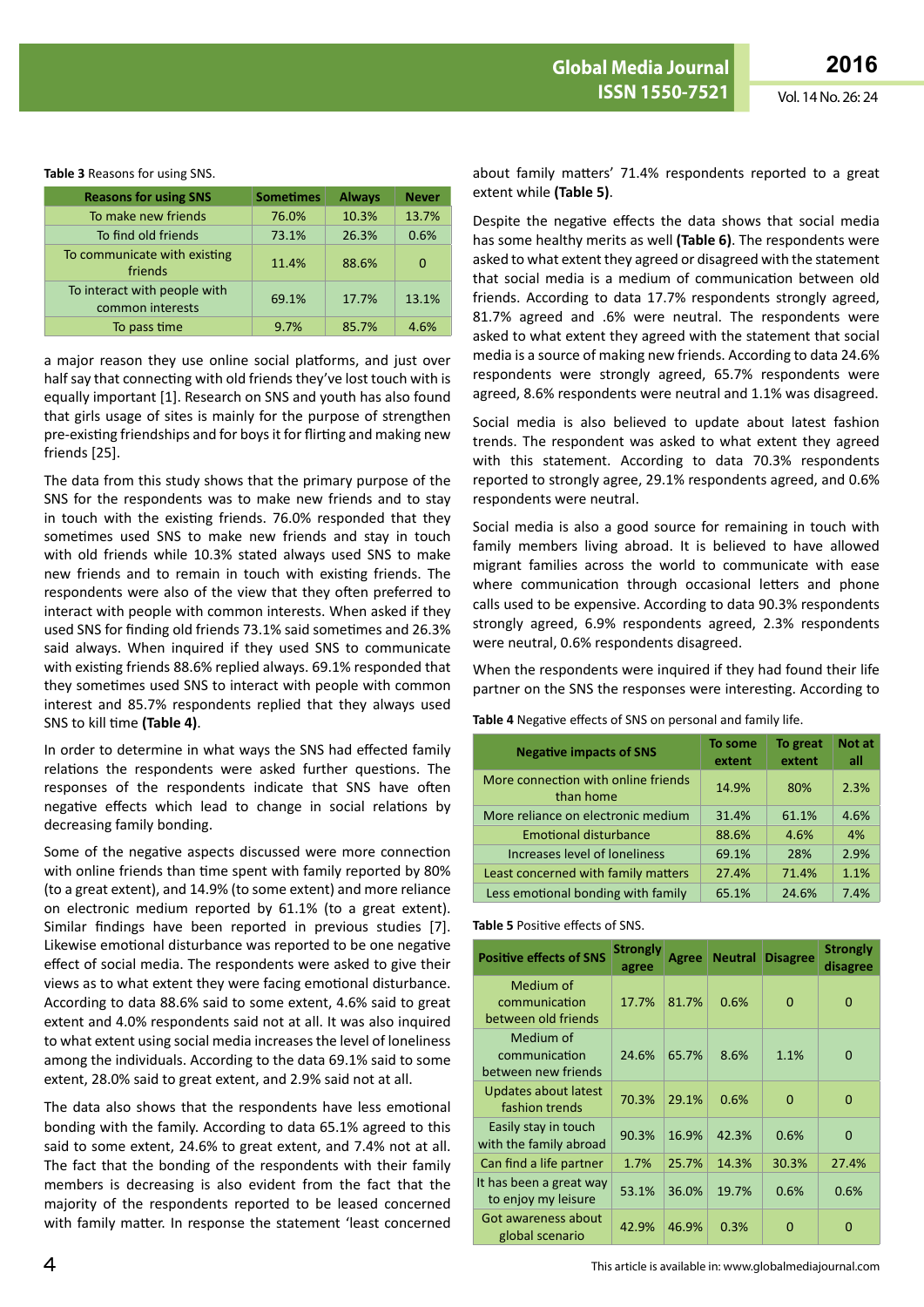#### **Table 3** Reasons for using SNS.

| <b>Reasons for using SNS</b>                     | <b>Sometimes</b> | <b>Always</b> | <b>Never</b> |
|--------------------------------------------------|------------------|---------------|--------------|
| To make new friends                              | 76.0%            | 10.3%         | 13.7%        |
| To find old friends                              | 73.1%            | 26.3%         | 0.6%         |
| To communicate with existing<br>friends          | 11.4%            | 88.6%         | 0            |
| To interact with people with<br>common interests | 69.1%            | 17.7%         | 13.1%        |
| To pass time                                     | 9.7%             | 85.7%         | 4.6%         |

a major reason they use online social platforms, and just over half say that connecting with old friends they've lost touch with is equally important [1]. Research on SNS and youth has also found that girls usage of sites is mainly for the purpose of strengthen pre-existing friendships and for boys it for flirting and making new friends [25].

The data from this study shows that the primary purpose of the SNS for the respondents was to make new friends and to stay in touch with the existing friends. 76.0% responded that they sometimes used SNS to make new friends and stay in touch with old friends while 10.3% stated always used SNS to make new friends and to remain in touch with existing friends. The respondents were also of the view that they often preferred to interact with people with common interests. When asked if they used SNS for finding old friends 73.1% said sometimes and 26.3% said always. When inquired if they used SNS to communicate with existing friends 88.6% replied always. 69.1% responded that they sometimes used SNS to interact with people with common interest and 85.7% respondents replied that they always used SNS to kill time **(Table 4)**.

In order to determine in what ways the SNS had effected family relations the respondents were asked further questions. The responses of the respondents indicate that SNS have often negative effects which lead to change in social relations by decreasing family bonding.

Some of the negative aspects discussed were more connection with online friends than time spent with family reported by 80% (to a great extent), and 14.9% (to some extent) and more reliance on electronic medium reported by 61.1% (to a great extent). Similar findings have been reported in previous studies [7]. Likewise emotional disturbance was reported to be one negative effect of social media. The respondents were asked to give their views as to what extent they were facing emotional disturbance. According to data 88.6% said to some extent, 4.6% said to great extent and 4.0% respondents said not at all. It was also inquired to what extent using social media increases the level of loneliness among the individuals. According to the data 69.1% said to some extent, 28.0% said to great extent, and 2.9% said not at all.

The data also shows that the respondents have less emotional bonding with the family. According to data 65.1% agreed to this said to some extent, 24.6% to great extent, and 7.4% not at all. The fact that the bonding of the respondents with their family members is decreasing is also evident from the fact that the majority of the respondents reported to be leased concerned with family matter. In response the statement 'least concerned

about family matters' 71.4% respondents reported to a great extent while **(Table 5)**.

Despite the negative effects the data shows that social media has some healthy merits as well **(Table 6)**. The respondents were asked to what extent they agreed or disagreed with the statement that social media is a medium of communication between old friends. According to data 17.7% respondents strongly agreed, 81.7% agreed and .6% were neutral. The respondents were asked to what extent they agreed with the statement that social media is a source of making new friends. According to data 24.6% respondents were strongly agreed, 65.7% respondents were agreed, 8.6% respondents were neutral and 1.1% was disagreed.

Social media is also believed to update about latest fashion trends. The respondent was asked to what extent they agreed with this statement. According to data 70.3% respondents reported to strongly agree, 29.1% respondents agreed, and 0.6% respondents were neutral.

Social media is also a good source for remaining in touch with family members living abroad. It is believed to have allowed migrant families across the world to communicate with ease where communication through occasional letters and phone calls used to be expensive. According to data 90.3% respondents strongly agreed, 6.9% respondents agreed, 2.3% respondents were neutral, 0.6% respondents disagreed.

When the respondents were inquired if they had found their life partner on the SNS the responses were interesting. According to

#### **Table 4** Negative effects of SNS on personal and family life.

| <b>Negative impacts of SNS</b>                   | To some<br>extent | To great<br>extent | <b>Not at</b><br>all |
|--------------------------------------------------|-------------------|--------------------|----------------------|
| More connection with online friends<br>than home | 14.9%             | 80%                | 2.3%                 |
| More reliance on electronic medium               | 31.4%             | 61.1%              | 4.6%                 |
| <b>Emotional disturbance</b>                     | 88.6%             | 4.6%               | 4%                   |
| Increases level of loneliness                    | 69.1%             | 28%                | 2.9%                 |
| Least concerned with family matters              | 27.4%             | 71.4%              | 1.1%                 |
| Less emotional bonding with family               | 65.1%             | 24.6%              | 7.4%                 |

#### **Table 5** Positive effects of SNS.

| <b>Positive effects of SNS</b>                    | <b>Strongly</b><br>agree | Agree | <b>Neutral</b> | <b>Disagree</b> | <b>Strongly</b><br>disagree |
|---------------------------------------------------|--------------------------|-------|----------------|-----------------|-----------------------------|
| Medium of<br>communication<br>between old friends | 17.7%                    | 81.7% | 0.6%           | 0               | $\Omega$                    |
| Medium of<br>communication<br>between new friends | 24.6%                    | 65.7% | 8.6%           | 1.1%            | $\Omega$                    |
| Updates about latest<br>fashion trends            | 70.3%                    | 29.1% | 0.6%           | 0               | $\Omega$                    |
| Easily stay in touch<br>with the family abroad    | 90.3%                    | 16.9% | 42.3%          | 0.6%            | $\Omega$                    |
| Can find a life partner                           | 1.7%                     | 25.7% | 14.3%          | 30.3%           | 27.4%                       |
| It has been a great way<br>to enjoy my leisure    | 53.1%                    | 36.0% | 19.7%          | 0.6%            | 0.6%                        |
| Got awareness about<br>global scenario            | 42.9%                    | 46.9% | 0.3%           | O               | O                           |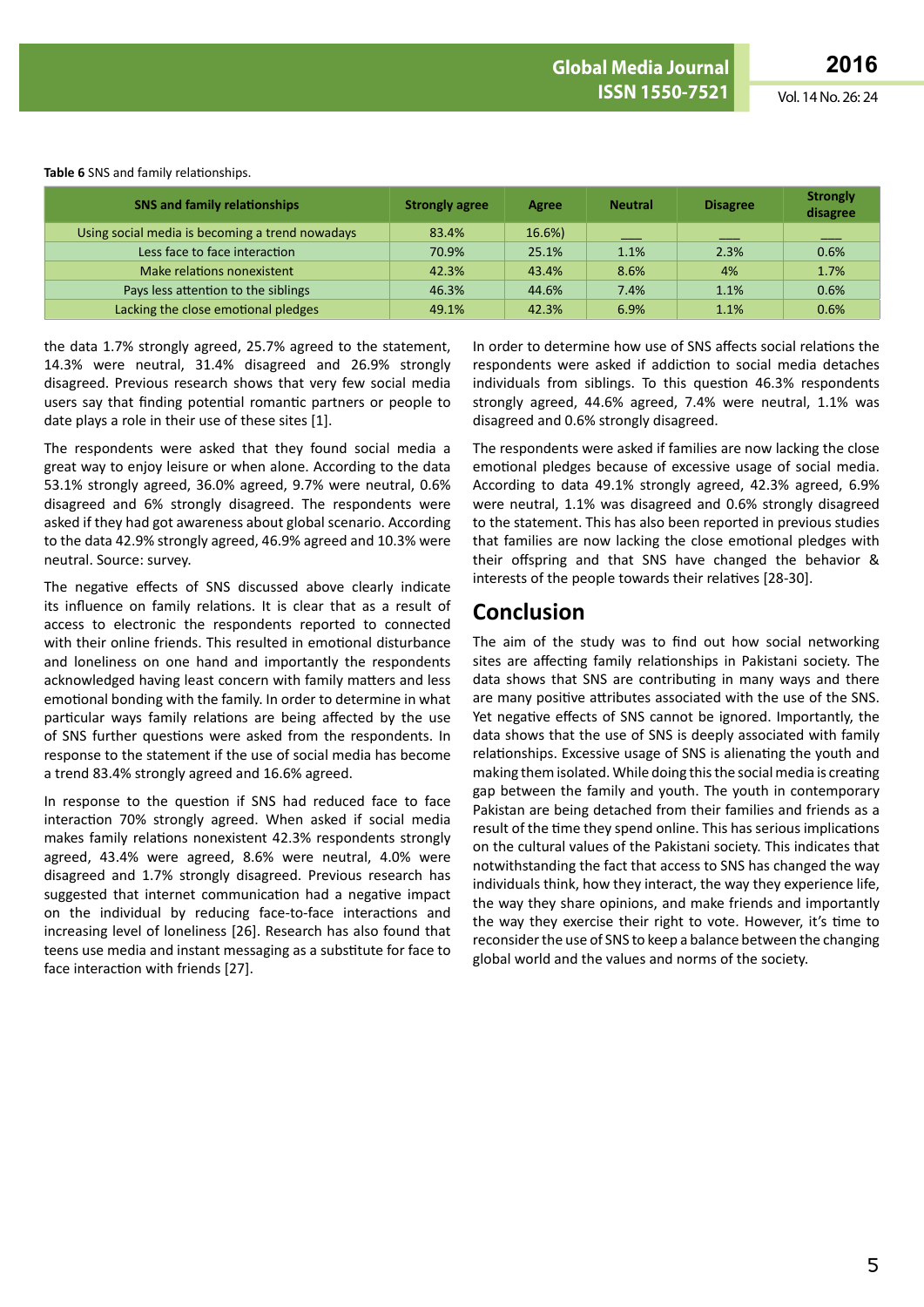| Table 6 SNS and family relationships. |  |
|---------------------------------------|--|
|---------------------------------------|--|

| <b>SNS and family relationships</b>             | <b>Strongly agree</b> | Agree  | <b>Neutral</b> | <b>Disagree</b> | <b>Strongly</b><br>disagree |
|-------------------------------------------------|-----------------------|--------|----------------|-----------------|-----------------------------|
| Using social media is becoming a trend nowadays | 83.4%                 | 16.6%) |                | ___             |                             |
| Less face to face interaction                   | 70.9%                 | 25.1%  | 1.1%           | 2.3%            | 0.6%                        |
| Make relations nonexistent                      | 42.3%                 | 43.4%  | 8.6%           | 4%              | 1.7%                        |
| Pays less attention to the siblings             | 46.3%                 | 44.6%  | 7.4%           | 1.1%            | 0.6%                        |
| Lacking the close emotional pledges             | 49.1%                 | 42.3%  | 6.9%           | 1.1%            | 0.6%                        |

the data 1.7% strongly agreed, 25.7% agreed to the statement, 14.3% were neutral, 31.4% disagreed and 26.9% strongly disagreed. Previous research shows that very few social media users say that finding potential romantic partners or people to date plays a role in their use of these sites [1].

The respondents were asked that they found social media a great way to enjoy leisure or when alone. According to the data 53.1% strongly agreed, 36.0% agreed, 9.7% were neutral, 0.6% disagreed and 6% strongly disagreed. The respondents were asked if they had got awareness about global scenario. According to the data 42.9% strongly agreed, 46.9% agreed and 10.3% were neutral. Source: survey.

The negative effects of SNS discussed above clearly indicate its influence on family relations. It is clear that as a result of access to electronic the respondents reported to connected with their online friends. This resulted in emotional disturbance and loneliness on one hand and importantly the respondents acknowledged having least concern with family matters and less emotional bonding with the family. In order to determine in what particular ways family relations are being affected by the use of SNS further questions were asked from the respondents. In response to the statement if the use of social media has become a trend 83.4% strongly agreed and 16.6% agreed.

In response to the question if SNS had reduced face to face interaction 70% strongly agreed. When asked if social media makes family relations nonexistent 42.3% respondents strongly agreed, 43.4% were agreed, 8.6% were neutral, 4.0% were disagreed and 1.7% strongly disagreed. Previous research has suggested that internet communication had a negative impact on the individual by reducing face-to-face interactions and increasing level of loneliness [26]. Research has also found that teens use media and instant messaging as a substitute for face to face interaction with friends [27].

In order to determine how use of SNS affects social relations the respondents were asked if addiction to social media detaches individuals from siblings. To this question 46.3% respondents strongly agreed, 44.6% agreed, 7.4% were neutral, 1.1% was disagreed and 0.6% strongly disagreed.

The respondents were asked if families are now lacking the close emotional pledges because of excessive usage of social media. According to data 49.1% strongly agreed, 42.3% agreed, 6.9% were neutral, 1.1% was disagreed and 0.6% strongly disagreed to the statement. This has also been reported in previous studies that families are now lacking the close emotional pledges with their offspring and that SNS have changed the behavior & interests of the people towards their relatives [28-30].

## **Conclusion**

The aim of the study was to find out how social networking sites are affecting family relationships in Pakistani society. The data shows that SNS are contributing in many ways and there are many positive attributes associated with the use of the SNS. Yet negative effects of SNS cannot be ignored. Importantly, the data shows that the use of SNS is deeply associated with family relationships. Excessive usage of SNS is alienating the youth and making them isolated. While doing this the social media is creating gap between the family and youth. The youth in contemporary Pakistan are being detached from their families and friends as a result of the time they spend online. This has serious implications on the cultural values of the Pakistani society. This indicates that notwithstanding the fact that access to SNS has changed the way individuals think, how they interact, the way they experience life, the way they share opinions, and make friends and importantly the way they exercise their right to vote. However, it's time to reconsider the use of SNS to keep a balance between the changing global world and the values and norms of the society.